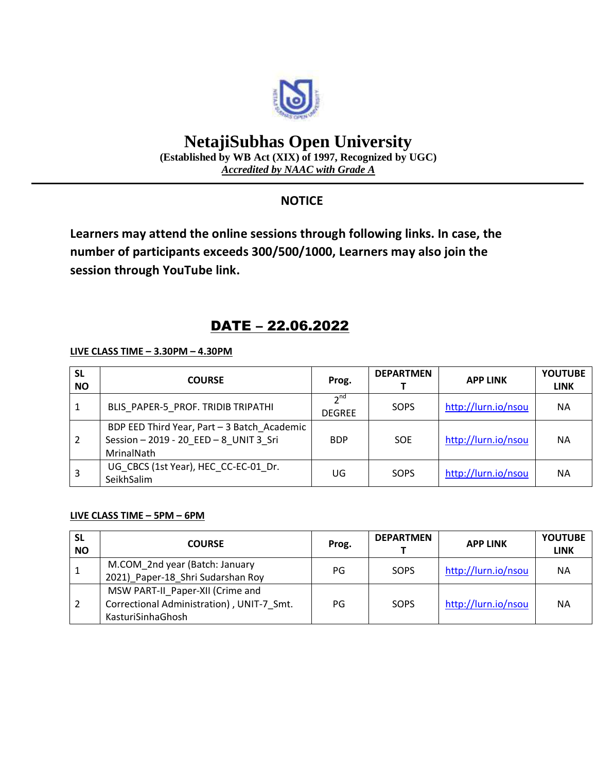

# **NetajiSubhas Open University**

**(Established by WB Act (XIX) of 1997, Recognized by UGC)** *Accredited by NAAC with Grade A*

## **NOTICE**

**Learners may attend the online sessions through following links. In case, the number of participants exceeds 300/500/1000, Learners may also join the session through YouTube link.**

## DATE – 22.06.2022

**LIVE CLASS TIME – 3.30PM – 4.30PM**

| <b>SL</b><br><b>NO</b> | <b>COURSE</b>                                                                                   | Prog.                            | <b>DEPARTMEN</b> | <b>APP LINK</b>     | <b>YOUTUBE</b><br><b>LINK</b> |
|------------------------|-------------------------------------------------------------------------------------------------|----------------------------------|------------------|---------------------|-------------------------------|
|                        | BLIS PAPER-5 PROF. TRIDIB TRIPATHI                                                              | 2 <sub>nd</sub><br><b>DEGREE</b> | SOPS             | http://lurn.io/nsou | <b>NA</b>                     |
|                        | BDP EED Third Year, Part - 3 Batch Academic<br>Session-2019 - 20 EED-8 UNIT 3 Sri<br>MrinalNath | <b>BDP</b>                       | <b>SOE</b>       | http://lurn.io/nsou | <b>NA</b>                     |
|                        | UG CBCS (1st Year), HEC CC-EC-01 Dr.<br>SeikhSalim                                              | UG                               | SOPS             | http://lurn.io/nsou | <b>NA</b>                     |

#### **LIVE CLASS TIME – 5PM – 6PM**

| <b>SL</b><br><b>NO</b> | <b>COURSE</b>                                                                                      | Prog. | <b>DEPARTMEN</b> | <b>APP LINK</b>     | <b>YOUTUBE</b><br><b>LINK</b> |
|------------------------|----------------------------------------------------------------------------------------------------|-------|------------------|---------------------|-------------------------------|
| 1                      | M.COM 2nd year (Batch: January<br>2021) Paper-18 Shri Sudarshan Roy                                | PG    | SOPS             | http://lurn.io/nsou | <b>NA</b>                     |
|                        | MSW PART-II Paper-XII (Crime and<br>Correctional Administration), UNIT-7 Smt.<br>KasturiSinhaGhosh | PG    | SOPS             | http://lurn.io/nsou | <b>NA</b>                     |